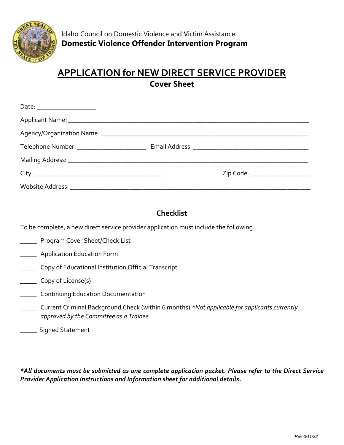

### **APPLICATION for NEW DIRECT SERVICE PROVIDER Cover Sheet**

|  | Zip Code: ______________________ |
|--|----------------------------------|
|  |                                  |

### **Checklist**

To be complete, a new direct service provider application must include the following:

- \_\_\_\_\_ Program Cover Sheet/Check List
- \_\_\_\_\_ Application Education Form
- \_\_\_\_\_ Copy of Educational Institution Official Transcript
- \_\_\_\_\_ Copy of License(s)
- \_\_\_\_\_ Continuing Education Documentation
- \_\_\_\_\_ Current Criminal Background Check (within 6 months) *\*Not applicable for applicants currently approved by the Committee as a Trainee.*
- **\_\_\_\_\_** Signed Statement

*\*All documents must be submitted as one complete application packet. Please refer to the Direct Service Provider Application Instructions and Information sheet for additional details.*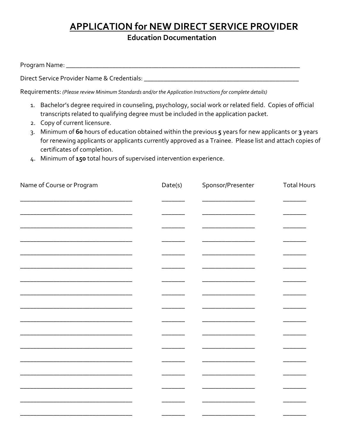# **APPLICATION for NEW DIRECT SERVICE PROVIDER**

**Education Documentation** 

| Program Name: |  |  |
|---------------|--|--|
|               |  |  |

Direct Service Provider Name & Credentials: \_\_\_\_\_\_\_\_\_\_\_\_\_\_\_\_\_\_\_\_\_\_\_\_\_\_\_\_\_\_\_\_\_\_\_\_\_\_\_\_\_\_\_\_\_\_\_

Requirements: *(Please review Minimum Standards and/or the Application Instructions for complete details)*

- 1. Bachelor's degree required in counseling, psychology, social work or related field. Copies of official transcripts related to qualifying degree must be included in the application packet.
- 2. Copy of current licensure.
- 3. Minimum of **60** hours of education obtained within the previous **5** years for new applicants or **3** years for renewing applicants or applicants currently approved as a Trainee. Please list and attach copies of certificates of completion.
- 4. Minimum of **150** total hours of supervised intervention experience.

| Name of Course or Program | Date(s) | Sponsor/Presenter | <b>Total Hours</b> |
|---------------------------|---------|-------------------|--------------------|
|                           |         |                   |                    |
|                           |         |                   |                    |
|                           |         |                   |                    |
|                           |         |                   |                    |
|                           |         |                   |                    |
|                           |         |                   |                    |
|                           |         |                   |                    |
|                           |         |                   |                    |
|                           |         |                   |                    |
|                           |         |                   |                    |
|                           |         |                   |                    |
|                           |         |                   |                    |
|                           |         |                   |                    |
|                           |         |                   |                    |
|                           |         |                   |                    |
|                           |         |                   |                    |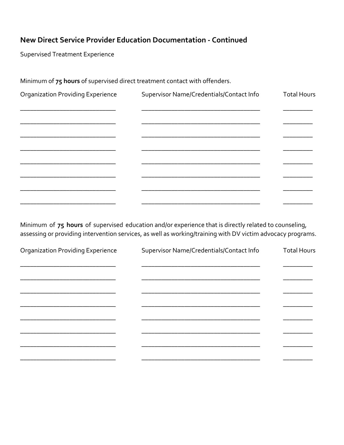#### New Direct Service Provider Education Documentation - Continued

**Supervised Treatment Experience** 

Minimum of 75 hours of supervised direct treatment contact with offenders.

| <b>Organization Providing Experience</b> | Supervisor Name/Credentials/Contact Info | <b>Total Hours</b> |
|------------------------------------------|------------------------------------------|--------------------|
|                                          |                                          |                    |
|                                          |                                          |                    |
|                                          |                                          |                    |
|                                          |                                          |                    |
|                                          |                                          |                    |
|                                          |                                          |                    |
|                                          |                                          |                    |

Minimum of 75 hours of supervised education and/or experience that is directly related to counseling, assessing or providing intervention services, as well as working/training with DV victim advocacy programs.

| <b>Organization Providing Experience</b> | Supervisor Name/Credentials/Contact Info | <b>Total Hours</b> |
|------------------------------------------|------------------------------------------|--------------------|
|                                          |                                          |                    |
|                                          |                                          |                    |
|                                          |                                          |                    |
|                                          |                                          |                    |
|                                          |                                          |                    |
|                                          |                                          |                    |
|                                          |                                          |                    |